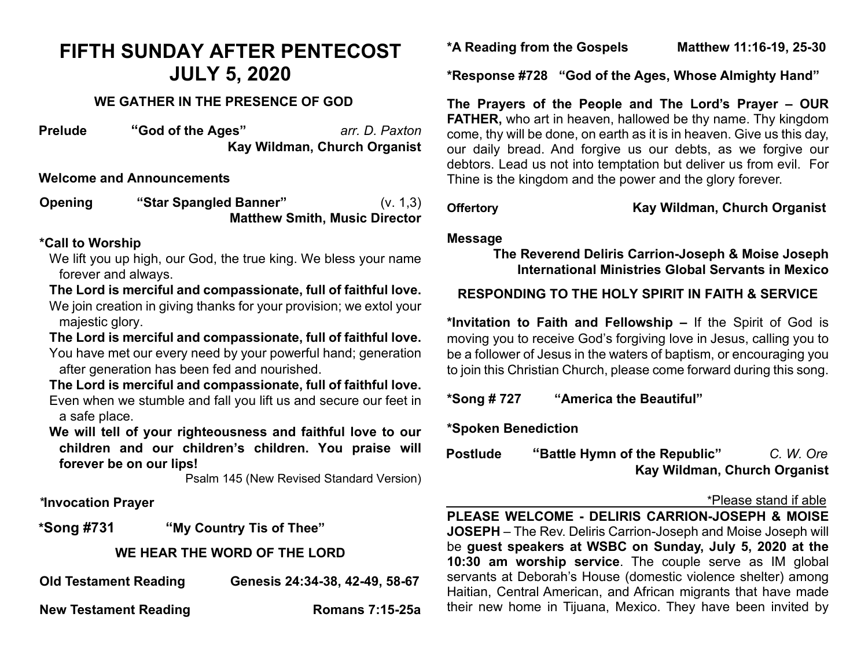# **FIFTH SUNDAY AFTER PENTECOST JULY 5, 2020**

## **WE GATHER IN THE PRESENCE OF GOD**

**Prelude "God of the Ages"** *arr. D. Paxton*  **Kay Wildman, Church Organist**

#### **Welcome and Announcements**

**Opening "Star Spangled Banner"** (v. 1,3) **Matthew Smith, Music Director** 

#### **\*Call to Worship**

We lift you up high, our God, the true king. We bless your name forever and always.

**The Lord is merciful and compassionate, full of faithful love.**  We join creation in giving thanks for your provision; we extol your majestic glory.

**The Lord is merciful and compassionate, full of faithful love.**  You have met our every need by your powerful hand; generation after generation has been fed and nourished.

**The Lord is merciful and compassionate, full of faithful love.**  Even when we stumble and fall you lift us and secure our feet in a safe place.

**We will tell of your righteousness and faithful love to our children and our children's children. You praise will forever be on our lips!** 

Psalm 145 (New Revised Standard Version)

#### *\****Invocation Prayer**

**\*Song #731 "My Country Tis of Thee"**

# **WE HEAR THE WORD OF THE LORD**

| <b>Old Testament Reading</b> | Genesis 24:34-38, 42-49, 58-67 |
|------------------------------|--------------------------------|
| <b>New Testament Reading</b> | <b>Romans 7:15-25a</b>         |

**\*A Reading from the Gospels Matthew 11:16-19, 25-30**

**\*Response #728 "God of the Ages, Whose Almighty Hand"**

**The Prayers of the People and The Lord's Prayer – OUR FATHER,** who art in heaven, hallowed be thy name. Thy kingdom come, thy will be done, on earth as it is in heaven. Give us this day, our daily bread. And forgive us our debts, as we forgive our debtors. Lead us not into temptation but deliver us from evil. For Thine is the kingdom and the power and the glory forever.

**Offertory Kay Wildman, Church Organist**

### **Message**

# **The Reverend Deliris Carrion-Joseph & Moise Joseph International Ministries Global Servants in Mexico**

# **RESPONDING TO THE HOLY SPIRIT IN FAITH & SERVICE**

**\*Invitation to Faith and Fellowship –** If the Spirit of God is moving you to receive God's forgiving love in Jesus, calling you to be a follower of Jesus in the waters of baptism, or encouraging you to join this Christian Church, please come forward during this song.

**\*Song # 727 "America the Beautiful"**

**\*Spoken Benediction** 

**Postlude "Battle Hymn of the Republic"** *C. W. Ore*  **Kay Wildman, Church Organist** 

#### \*Please stand if able

**PLEASE WELCOME - DELIRIS CARRION-JOSEPH & MOISE JOSEPH** – The Rev. Deliris Carrion-Joseph and Moise Joseph will be **guest speakers at WSBC on Sunday, July 5, 2020 at the 10:30 am worship service**. The couple serve as IM global servants at Deborah's House (domestic violence shelter) among Haitian, Central American, and African migrants that have made their new home in Tijuana, Mexico. They have been invited by